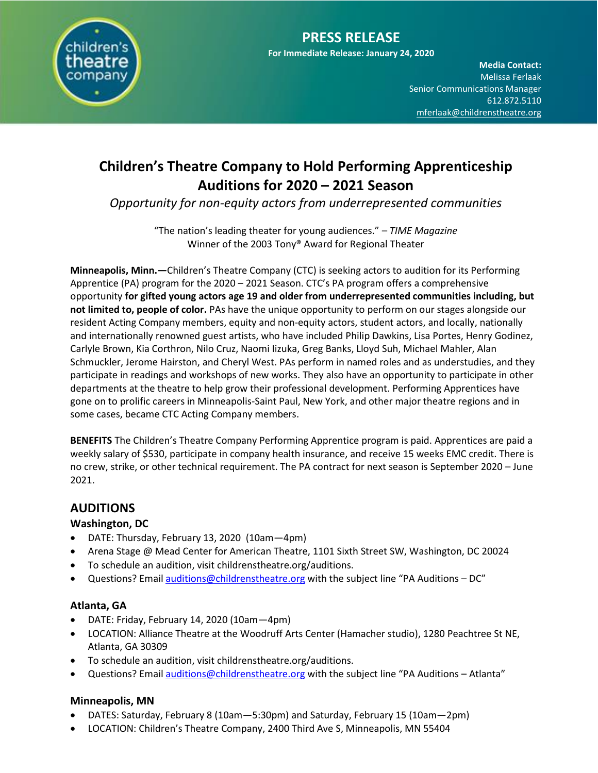

**Media Contact:**  Melissa Ferlaak Senior Communications Manager 612.872.5110 [mferlaak@childrenstheatre.org](mailto:mferlaak@childrenstheatre.org)

# **Children's Theatre Company to Hold Performing Apprenticeship Auditions for 2020 – 2021 Season**

*Opportunity for non-equity actors from underrepresented communities*

"The nation's leading theater for young audiences." – *TIME Magazine* Winner of the 2003 Tony® Award for Regional Theater

**Minneapolis, Minn.—**Children's Theatre Company (CTC) is seeking actors to audition for its Performing Apprentice (PA) program for the 2020 – 2021 Season. CTC's PA program offers a comprehensive opportunity **for gifted young actors age 19 and older from underrepresented communities including, but not limited to, people of color.** PAs have the unique opportunity to perform on our stages alongside our resident Acting Company members, equity and non-equity actors, student actors, and locally, nationally and internationally renowned guest artists, who have included Philip Dawkins, Lisa Portes, Henry Godinez, Carlyle Brown, Kia Corthron, Nilo Cruz, Naomi Iizuka, Greg Banks, Lloyd Suh, Michael Mahler, Alan Schmuckler, Jerome Hairston, and Cheryl West. PAs perform in named roles and as understudies, and they participate in readings and workshops of new works. They also have an opportunity to participate in other departments at the theatre to help grow their professional development. Performing Apprentices have gone on to prolific careers in Minneapolis-Saint Paul, New York, and other major theatre regions and in some cases, became CTC Acting Company members.

**BENEFITS** The Children's Theatre Company Performing Apprentice program is paid. Apprentices are paid a weekly salary of \$530, participate in company health insurance, and receive 15 weeks EMC credit. There is no crew, strike, or other technical requirement. The PA contract for next season is September 2020 – June 2021.

## **AUDITIONS**

### **Washington, DC**

- DATE: Thursday, February 13, 2020 (10am—4pm)
- Arena Stage @ Mead Center for American Theatre, 1101 Sixth Street SW, Washington, DC 20024
- To schedule an audition, visit childrenstheatre.org/auditions.
- Questions? Emai[l auditions@childrenstheatre.org](mailto:auditions@childrenstheatre.org) with the subject line "PA Auditions DC"

### **Atlanta, GA**

- DATE: Friday, February 14, 2020 (10am—4pm)
- LOCATION: Alliance Theatre at the Woodruff Arts Center (Hamacher studio), 1280 Peachtree St NE, Atlanta, GA 30309
- To schedule an audition, visit childrenstheatre.org/auditions.
- Questions? Emai[l auditions@childrenstheatre.org](mailto:auditions@childrenstheatre.org) with the subject line "PA Auditions Atlanta"

### **Minneapolis, MN**

- DATES: Saturday, February 8 (10am—5:30pm) and Saturday, February 15 (10am—2pm)
- LOCATION: Children's Theatre Company, 2400 Third Ave S, Minneapolis, MN 55404